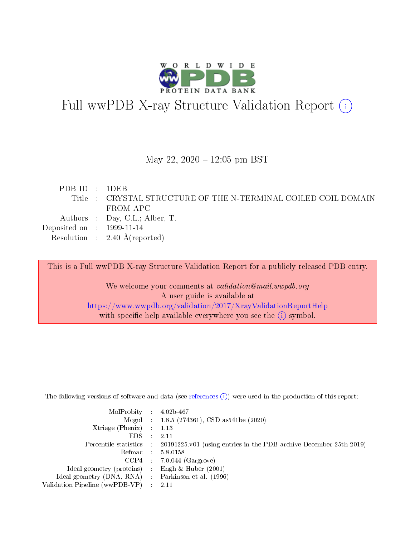

# Full wwPDB X-ray Structure Validation Report (i)

#### May 22,  $2020 - 12:05$  pm BST

| PDBID : 1DEB                |                                                                |
|-----------------------------|----------------------------------------------------------------|
|                             | Title : CRYSTAL STRUCTURE OF THE N-TERMINAL COILED COIL DOMAIN |
|                             | FROM APC                                                       |
|                             | Authors : Day, C.L.; Alber, T.                                 |
| Deposited on : $1999-11-14$ |                                                                |
|                             | Resolution : $2.40 \text{ Å}$ (reported)                       |

This is a Full wwPDB X-ray Structure Validation Report for a publicly released PDB entry.

We welcome your comments at validation@mail.wwpdb.org A user guide is available at <https://www.wwpdb.org/validation/2017/XrayValidationReportHelp> with specific help available everywhere you see the  $(i)$  symbol.

The following versions of software and data (see [references](https://www.wwpdb.org/validation/2017/XrayValidationReportHelp#references)  $(1)$ ) were used in the production of this report:

| $MolProbability$ : 4.02b-467                      |                              |                                                                                            |
|---------------------------------------------------|------------------------------|--------------------------------------------------------------------------------------------|
|                                                   |                              | Mogul : 1.8.5 (274361), CSD as 541be (2020)                                                |
| Xtriage (Phenix) $: 1.13$                         |                              |                                                                                            |
| EDS –                                             | $\sim$                       | -2.11                                                                                      |
|                                                   |                              | Percentile statistics : 20191225.v01 (using entries in the PDB archive December 25th 2019) |
| Refmac : 5.8.0158                                 |                              |                                                                                            |
| CCP4                                              |                              | $7.0.044$ (Gargrove)                                                                       |
| Ideal geometry (proteins)                         | $\mathcal{L}_{\mathrm{eff}}$ | Engh & Huber $(2001)$                                                                      |
| Ideal geometry (DNA, RNA) Parkinson et al. (1996) |                              |                                                                                            |
| Validation Pipeline (wwPDB-VP) : 2.11             |                              |                                                                                            |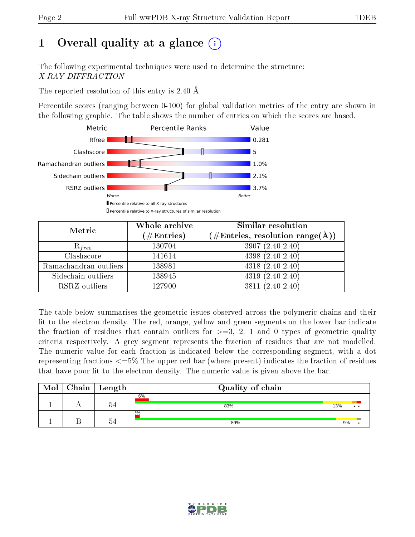# 1 [O](https://www.wwpdb.org/validation/2017/XrayValidationReportHelp#overall_quality)verall quality at a glance  $(i)$

The following experimental techniques were used to determine the structure: X-RAY DIFFRACTION

The reported resolution of this entry is 2.40 Å.

Percentile scores (ranging between 0-100) for global validation metrics of the entry are shown in the following graphic. The table shows the number of entries on which the scores are based.



| Metric                | Whole archive<br>$(\#\mathrm{Entries})$ | Similar resolution<br>$(\#\text{Entries},\, \text{resolution}\; \text{range}(\textup{\AA}))$ |  |  |
|-----------------------|-----------------------------------------|----------------------------------------------------------------------------------------------|--|--|
| $R_{free}$            | 130704                                  | $3907(2.40-2.40)$                                                                            |  |  |
| Clashscore            | 141614                                  | $4398(2.40-2.40)$                                                                            |  |  |
| Ramachandran outliers | 138981                                  | $4318(2.40-2.40)$                                                                            |  |  |
| Sidechain outliers    | 138945                                  | $4319(2.40-2.40)$                                                                            |  |  |
| RSRZ outliers         | 127900                                  | $3811 (2.40 - 2.40)$                                                                         |  |  |

The table below summarises the geometric issues observed across the polymeric chains and their fit to the electron density. The red, orange, yellow and green segments on the lower bar indicate the fraction of residues that contain outliers for  $>=3, 2, 1$  and 0 types of geometric quality criteria respectively. A grey segment represents the fraction of residues that are not modelled. The numeric value for each fraction is indicated below the corresponding segment, with a dot representing fractions  $\epsilon=5\%$  The upper red bar (where present) indicates the fraction of residues that have poor fit to the electron density. The numeric value is given above the bar.

| Mol | $Chain$ Length | Quality of chain |            |
|-----|----------------|------------------|------------|
|     | $\sim$<br>u.   | 6%<br>83%        | 13%<br>. . |
|     | $\tilde{}$     | 2%<br>89%        | 9%         |

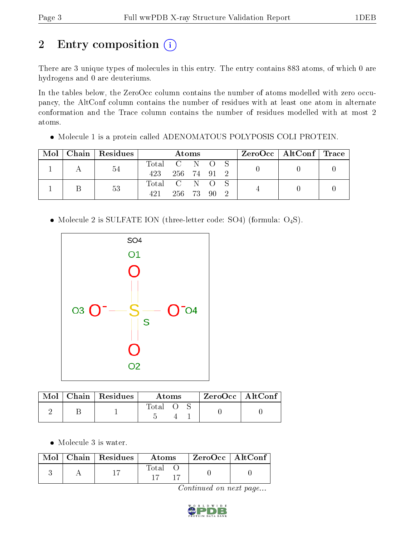# 2 Entry composition (i)

There are 3 unique types of molecules in this entry. The entry contains 883 atoms, of which 0 are hydrogens and 0 are deuteriums.

In the tables below, the ZeroOcc column contains the number of atoms modelled with zero occupancy, the AltConf column contains the number of residues with at least one atom in alternate conformation and the Trace column contains the number of residues modelled with at most 2 atoms.

Molecule 1 is a protein called ADENOMATOUS POLYPOSIS COLI PROTEIN.

| Mol |  | Chain Residues | Atoms       |           |  |  |     |  | ZeroOcc   AltConf   Trace |  |
|-----|--|----------------|-------------|-----------|--|--|-----|--|---------------------------|--|
|     |  | 54             | Total C N O |           |  |  |     |  |                           |  |
|     |  |                | 423         | 256 74 91 |  |  | - 9 |  |                           |  |
|     |  | 53             | Total C N O |           |  |  |     |  |                           |  |
|     |  |                | 421         | 256 73 90 |  |  |     |  |                           |  |

• Molecule 2 is SULFATE ION (three-letter code: SO4) (formula:  $O_4S$ ).



|  | $Mol$   Chain   Residues | Atoms |  |  | $ZeroOcc$   AltConf |  |
|--|--------------------------|-------|--|--|---------------------|--|
|  |                          | Total |  |  |                     |  |

• Molecule 3 is water.

|  | Mol   Chain   Residues | Atoms | $\mid$ ZeroOcc $\mid$ AltConf |  |
|--|------------------------|-------|-------------------------------|--|
|  |                        | Total |                               |  |

Continued on next page...

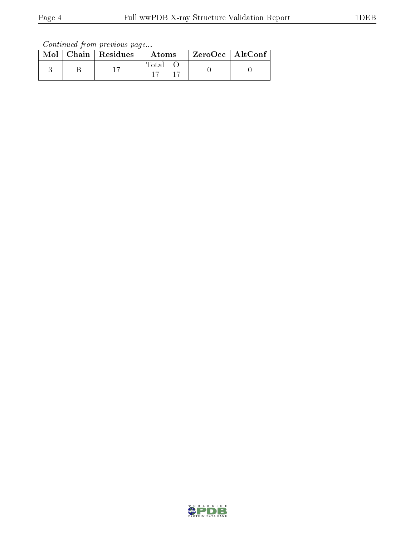Continued from previous page...

|  | $Mol$   Chain   Residues | Atoms       | $^\mathrm{+}$ ZeroOcc $\mathrm{~\vert}$ AltConf $\mathrm{~\vert}$ |  |
|--|--------------------------|-------------|-------------------------------------------------------------------|--|
|  |                          | Total<br>17 |                                                                   |  |

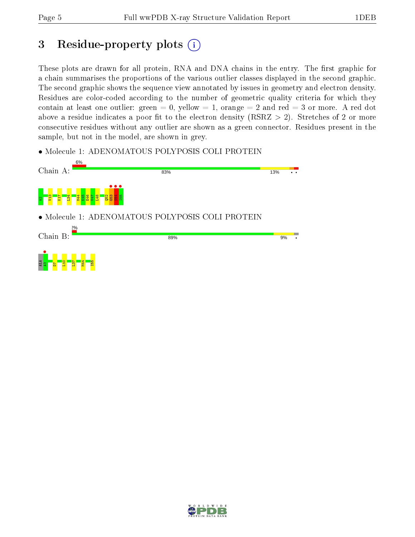## 3 Residue-property plots  $(i)$

These plots are drawn for all protein, RNA and DNA chains in the entry. The first graphic for a chain summarises the proportions of the various outlier classes displayed in the second graphic. The second graphic shows the sequence view annotated by issues in geometry and electron density. Residues are color-coded according to the number of geometric quality criteria for which they contain at least one outlier: green  $= 0$ , yellow  $= 1$ , orange  $= 2$  and red  $= 3$  or more. A red dot above a residue indicates a poor fit to the electron density (RSRZ  $> 2$ ). Stretches of 2 or more consecutive residues without any outlier are shown as a green connector. Residues present in the sample, but not in the model, are shown in grey.

• Molecule 1: ADENOMATOUS POLYPOSIS COLI PROTEIN



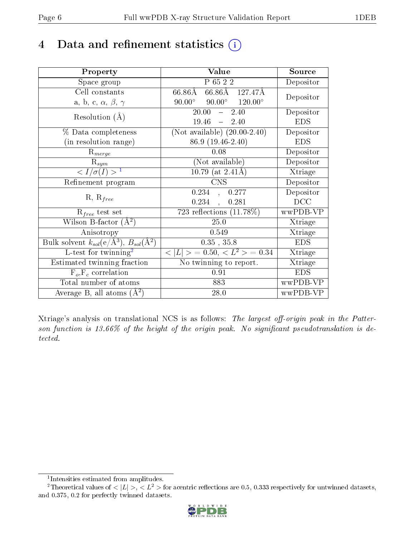# 4 Data and refinement statistics  $(i)$

| Property                                                         | Value                                            | Source     |
|------------------------------------------------------------------|--------------------------------------------------|------------|
| Space group                                                      | P 65 2 2                                         | Depositor  |
| Cell constants                                                   | 66.86Å 127.47Å<br>$66.86\text{\AA}$              | Depositor  |
| a, b, c, $\alpha$ , $\beta$ , $\gamma$                           | $90.00^{\circ}$ $90.00^{\circ}$ $120.00^{\circ}$ |            |
| Resolution $(A)$                                                 | 20.00<br>2.40<br>$\frac{1}{2}$                   | Depositor  |
|                                                                  | 19.46<br>$-2.40$                                 | <b>EDS</b> |
| % Data completeness                                              | (Not available) $(20.00-2.40)$                   | Depositor  |
| (in resolution range)                                            | 86.9 (19.46-2.40)                                | <b>EDS</b> |
| $R_{merge}$                                                      | 0.08                                             | Depositor  |
| $\mathrm{R}_{sym}$                                               | (Not available)                                  | Depositor  |
| $\langle I/\sigma(I)\rangle^{-1}$                                | 10.79 (at $2.41\text{\AA}$ )                     | Xtriage    |
| Refinement program                                               | CNS                                              | Depositor  |
| $R, R_{free}$                                                    | 0.234,<br>0.277                                  | Depositor  |
|                                                                  | 0.234,<br>0.281                                  | DCC        |
| $R_{free}$ test set                                              | 723 reflections $(11.78\%)$                      | wwPDB-VP   |
| Wilson B-factor $(A^2)$                                          | 25.0                                             | Xtriage    |
| Anisotropy                                                       | 0.549                                            | Xtriage    |
| Bulk solvent $k_{sol}(\text{e}/\text{A}^3), B_{sol}(\text{A}^2)$ | $0.35$ , $35.8$                                  | <b>EDS</b> |
| L-test for twinning <sup>2</sup>                                 | $< L >$ = 0.50, $< L2 >$ = 0.34                  | Xtriage    |
| Estimated twinning fraction                                      | No twinning to report.                           | Xtriage    |
| $F_o, F_c$ correlation                                           | 0.91                                             | <b>EDS</b> |
| Total number of atoms                                            | 883                                              | wwPDB-VP   |
| Average B, all atoms $(A^2)$                                     | 28.0                                             | wwPDB-VP   |

Xtriage's analysis on translational NCS is as follows: The largest off-origin peak in the Patterson function is  $13.66\%$  of the height of the origin peak. No significant pseudotranslation is detected.

<sup>&</sup>lt;sup>2</sup>Theoretical values of  $\langle |L| \rangle$ ,  $\langle L^2 \rangle$  for acentric reflections are 0.5, 0.333 respectively for untwinned datasets, and 0.375, 0.2 for perfectly twinned datasets.



<span id="page-5-1"></span><span id="page-5-0"></span><sup>1</sup> Intensities estimated from amplitudes.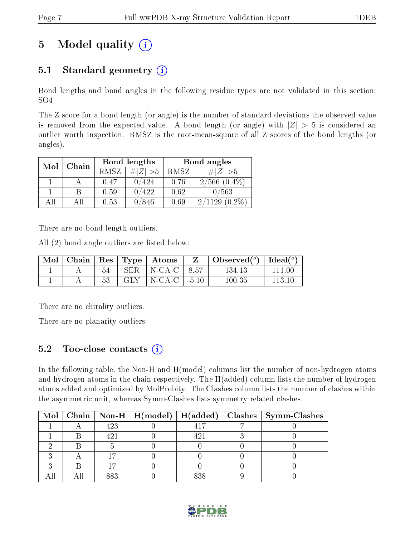# 5 Model quality  $(i)$

## 5.1 Standard geometry  $(i)$

Bond lengths and bond angles in the following residue types are not validated in this section: SO4

The Z score for a bond length (or angle) is the number of standard deviations the observed value is removed from the expected value. A bond length (or angle) with  $|Z| > 5$  is considered an outlier worth inspection. RMSZ is the root-mean-square of all Z scores of the bond lengths (or angles).

| Mol | Chain |             | Bond lengths | Bond angles |                   |  |
|-----|-------|-------------|--------------|-------------|-------------------|--|
|     |       | <b>RMSZ</b> | $\ Z\  > 5$  | RMSZ        | $\# Z  > 5$       |  |
|     |       | 0.47        | ′424         | 0.76        | $2/566$ $(0.4\%)$ |  |
|     | R     | 0.59        | 422          | 0.62        | 0/563             |  |
| AΠ  | ΑH    | 0.53        | 846          | 0.69        | $(0.2\%)$<br>1129 |  |

There are no bond length outliers.

All (2) bond angle outliers are listed below:

| Mol |    |     | $\vert$ Chain $\vert$ Res $\vert$ Type $\vert$ Atoms | Observed <sup>(<math>^o</math>)</sup> [deal( $^o$ ) |        |
|-----|----|-----|------------------------------------------------------|-----------------------------------------------------|--------|
|     |    | SER | $N-CA-C$ 8.57                                        | 134.13                                              |        |
|     | 53 | GLY | $\vert$ N-CA-C $\vert$ -5.10                         | 100.35                                              | 113 10 |

There are no chirality outliers.

There are no planarity outliers.

### 5.2 Too-close contacts  $\overline{a}$

In the following table, the Non-H and H(model) columns list the number of non-hydrogen atoms and hydrogen atoms in the chain respectively. The H(added) column lists the number of hydrogen atoms added and optimized by MolProbity. The Clashes column lists the number of clashes within the asymmetric unit, whereas Symm-Clashes lists symmetry related clashes.

|  |     |       | Mol   Chain   Non-H   H(model)   H(added)   Clashes   Symm-Clashes |
|--|-----|-------|--------------------------------------------------------------------|
|  | 423 |       |                                                                    |
|  |     |       |                                                                    |
|  |     |       |                                                                    |
|  |     |       |                                                                    |
|  |     |       |                                                                    |
|  |     | o o o |                                                                    |

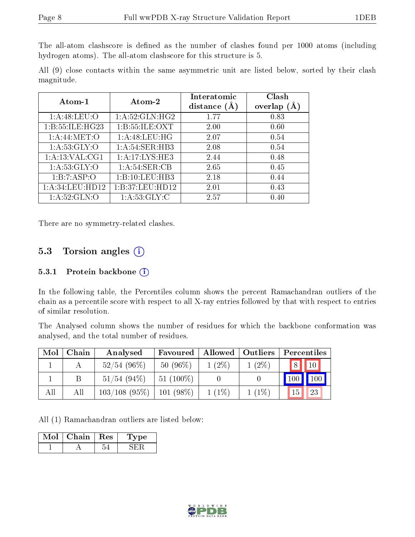The all-atom clashscore is defined as the number of clashes found per 1000 atoms (including hydrogen atoms). The all-atom clashscore for this structure is 5.

All (9) close contacts within the same asymmetric unit are listed below, sorted by their clash magnitude.

| Atom-1              | Atom-2             | Interatomic<br>distance $(A)$ | Clash<br>overlap |
|---------------------|--------------------|-------------------------------|------------------|
|                     |                    |                               |                  |
| 1: A:48:LEU:O       | 1: A:52: GLN: HG2  | 1.77                          | 0.83             |
| 1: B: 55: ILE: HG23 | 1: B: 55: ILE: OXT | 2.00                          | 0.60             |
| 1: A:44: MET:O      | 1:A:48:LEU:HG      | 2.07                          | 0.54             |
| 1: A:53: GLY:O      | 1: A:54:SER:HB3    | 2.08                          | 0.54             |
| 1:A:13:VAL:CG1      | 1:A:17:LYS:HE3     | 2.44                          | 0.48             |
| 1: A:53: GLY:O      | 1: A:54:SER:CB     | 2.65                          | 0.45             |
| 1:B:7:ASP:O         | 1:B:10:LEU:HB3     | 2.18                          | 0.44             |
| 1:A:34:LEU:HD12     | 1:B:37:LEU:HD12    | 2.01                          | 0.43             |
| 1: A:52: GLN:O      | 1: A:53: GLY: C    | 2.57                          | 0.40             |

There are no symmetry-related clashes.

#### 5.3 Torsion angles  $(i)$

#### 5.3.1 Protein backbone (i)

In the following table, the Percentiles column shows the percent Ramachandran outliers of the chain as a percentile score with respect to all X-ray entries followed by that with respect to entries of similar resolution.

The Analysed column shows the number of residues for which the backbone conformation was analysed, and the total number of residues.

| Mol | Chain | Analysed        | Favoured    | Allowed  | Outliers | Percentiles    |
|-----|-------|-----------------|-------------|----------|----------|----------------|
|     |       | $52/54$ (96\%)  | $50(96\%)$  | $1(2\%)$ | $1(2\%)$ | $\Omega$<br>10 |
|     | B     | $51/54$ (94\%)  | $51(100\%)$ |          |          | 100            |
| All | All   | $103/108$ (95%) | $101(98\%)$ | $1(1\%)$ | $1(1\%)$ | 23<br>15       |

All (1) Ramachandran outliers are listed below:

| VIol | Chain | $\operatorname{Res}$ | рe<br>– I. V 1. |
|------|-------|----------------------|-----------------|
|      |       |                      |                 |

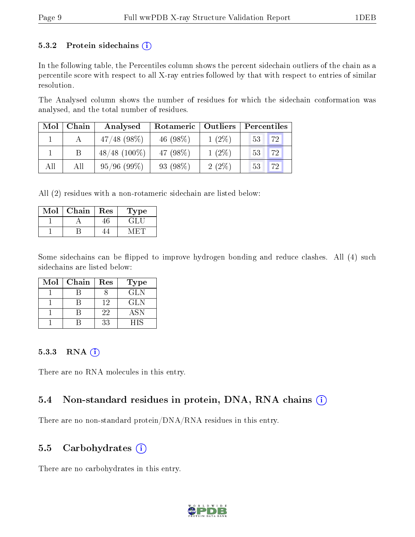#### 5.3.2 Protein sidechains  $(i)$

In the following table, the Percentiles column shows the percent sidechain outliers of the chain as a percentile score with respect to all X-ray entries followed by that with respect to entries of similar resolution.

The Analysed column shows the number of residues for which the sidechain conformation was analysed, and the total number of residues.

| Mol | Chain | Analysed       | Rotameric   Outliers |          | Percentiles |  |  |
|-----|-------|----------------|----------------------|----------|-------------|--|--|
|     |       | $47/48$ (98\%) | 46 $(98\%)$          | $1(2\%)$ | 72<br>53    |  |  |
|     |       | $48/48$ (100%) | 47 (98%)             | $1(2\%)$ | 72<br>53    |  |  |
| All | All   | 95/96(99%)     | 93 (98%)             | $2(2\%)$ | 72<br>53    |  |  |

All (2) residues with a non-rotameric sidechain are listed below:

| ∨քօ⊺ | ${\bf Chain}$ | Res | Lype |
|------|---------------|-----|------|
|      |               |     |      |
|      |               |     |      |

Some sidechains can be flipped to improve hydrogen bonding and reduce clashes. All (4) such sidechains are listed below:

| Mol | Chain | Res | <b>Type</b> |
|-----|-------|-----|-------------|
|     |       |     | <b>GLN</b>  |
|     |       | 12  | GLN         |
|     |       | 22  | <b>ASN</b>  |
|     |       | 33  | HIS         |

#### 5.3.3 RNA (i)

There are no RNA molecules in this entry.

#### 5.4 Non-standard residues in protein, DNA, RNA chains  $(i)$

There are no non-standard protein/DNA/RNA residues in this entry.

#### 5.5 Carbohydrates  $(i)$

There are no carbohydrates in this entry.

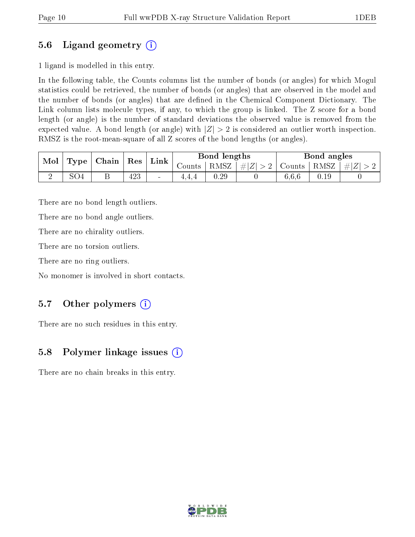## 5.6 Ligand geometry (i)

1 ligand is modelled in this entry.

In the following table, the Counts columns list the number of bonds (or angles) for which Mogul statistics could be retrieved, the number of bonds (or angles) that are observed in the model and the number of bonds (or angles) that are dened in the Chemical Component Dictionary. The Link column lists molecule types, if any, to which the group is linked. The Z score for a bond length (or angle) is the number of standard deviations the observed value is removed from the expected value. A bond length (or angle) with  $|Z| > 2$  is considered an outlier worth inspection. RMSZ is the root-mean-square of all Z scores of the bond lengths (or angles).

| Mol | Type | Chain   Res |     | Link                     |               | Bond lengths |                                   |       | Bond angles |           |
|-----|------|-------------|-----|--------------------------|---------------|--------------|-----------------------------------|-------|-------------|-----------|
|     |      |             |     |                          | $\frac{1}{2}$ | $RMSZ +$     | $\left  \#Z \right  > 2$   Counts |       | RMSZ        | $\pm  Z $ |
|     | 5O4  | ◡           | 423 | $\overline{\phantom{a}}$ | 4.4.4         | 0.29         |                                   | 6.6.6 | 0.19        |           |

There are no bond length outliers.

There are no bond angle outliers.

There are no chirality outliers.

There are no torsion outliers.

There are no ring outliers.

No monomer is involved in short contacts.

## 5.7 [O](https://www.wwpdb.org/validation/2017/XrayValidationReportHelp#nonstandard_residues_and_ligands)ther polymers  $(i)$

There are no such residues in this entry.

## 5.8 Polymer linkage issues  $(i)$

There are no chain breaks in this entry.

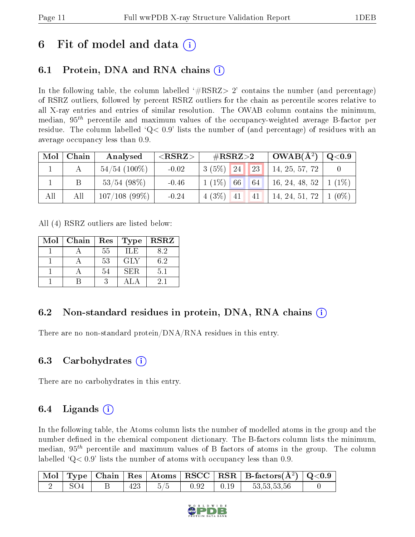## 6 Fit of model and data  $\left( \cdot \right)$

## 6.1 Protein, DNA and RNA chains (i)

In the following table, the column labelled  $#RSRZ>2'$  contains the number (and percentage) of RSRZ outliers, followed by percent RSRZ outliers for the chain as percentile scores relative to all X-ray entries and entries of similar resolution. The OWAB column contains the minimum, median,  $95<sup>th</sup>$  percentile and maximum values of the occupancy-weighted average B-factor per residue. The column labelled  $Q < 0.9$  lists the number of (and percentage) of residues with an average occupancy less than 0.9.

| Mol | Chain | Analysed        | ${ <\hspace{-1.5pt}{\mathrm{RSRZ}} \hspace{-1.5pt}>}$ | $\#\text{RSRZ}\text{>2}$ |    | $OWAB(A^2)$              | $\rm Q\textcolor{black}{<}0.9$ |
|-----|-------|-----------------|-------------------------------------------------------|--------------------------|----|--------------------------|--------------------------------|
|     |       | $54/54$ (100%)  | $-0.02$                                               | 24 <br>$3(5\%)$          | 23 | 14, 25, 57, 72           |                                |
|     |       | $53/54$ (98%)   | $-0.46$                                               | $1(1\%)$<br>66           | 64 | 16, 24, 48, 52           | $(1\%)$                        |
| All | All   | $107/108$ (99%) | $-0.24$                                               | $4(3\%)$ 41              | 41 | 14, 24, 51, 72   1 (0\%) |                                |

All (4) RSRZ outliers are listed below:

| Mol | Chain | $\operatorname{Res}$ | Type       | <b>RSRZ</b> |
|-----|-------|----------------------|------------|-------------|
|     |       | 55                   | ILE        | 8.2         |
|     |       | 53                   | <b>GLY</b> | 6.2         |
|     |       | 54                   | SER        | 5.1         |
|     |       |                      |            | 21          |

## 6.2 Non-standard residues in protein, DNA, RNA chains (i)

There are no non-standard protein/DNA/RNA residues in this entry.

### 6.3 Carbohydrates (i)

There are no carbohydrates in this entry.

## $6.4$  Ligands  $(i)$

In the following table, the Atoms column lists the number of modelled atoms in the group and the number defined in the chemical component dictionary. The B-factors column lists the minimum, median,  $95<sup>th</sup>$  percentile and maximum values of B factors of atoms in the group. The column labelled  $Q< 0.9$  lists the number of atoms with occupancy less than 0.9.

|                 |     |        |      |       | $\boxed{\text{ Mol}}$ Type   Chain   Res   Atoms   RSCC   RSR   B-factors $(\AA^2)$   Q<0.9 |  |
|-----------------|-----|--------|------|-------|---------------------------------------------------------------------------------------------|--|
| SO <sub>4</sub> | 423 | $-5/5$ | 0.92 | 10.19 | 53,53,53,56                                                                                 |  |